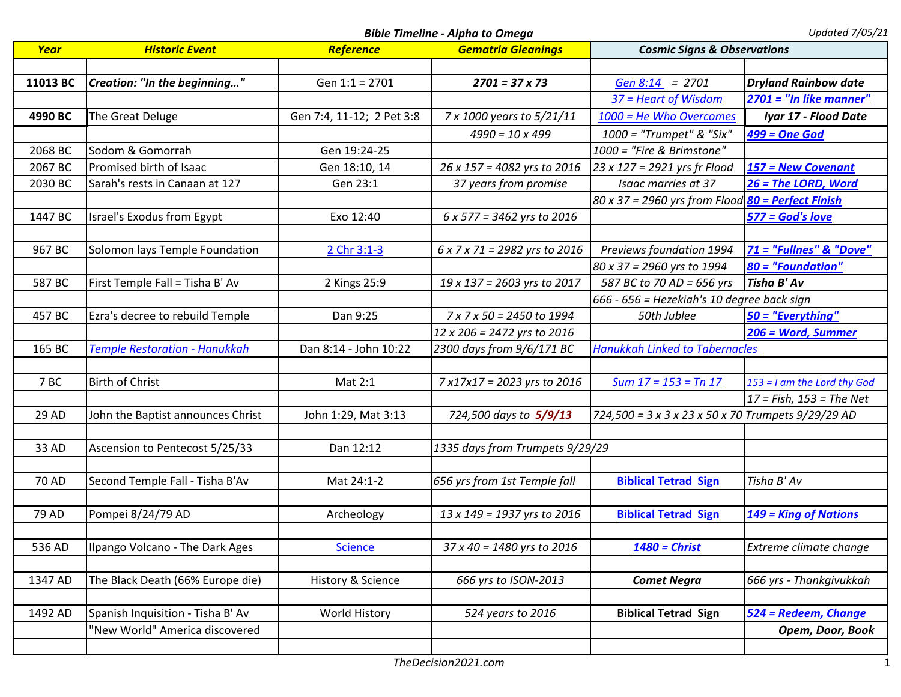*Bible Timeline - Alpha to Omega Updated 7/05/21*

| Year     | <b>Historic Event</b>             | Reference                 | <b>Gematria Gleanings</b>       | <b>Cosmic Signs &amp; Observations</b>             |                               |
|----------|-----------------------------------|---------------------------|---------------------------------|----------------------------------------------------|-------------------------------|
|          |                                   |                           |                                 |                                                    |                               |
| 11013 BC | Creation: "In the beginning"      | Gen 1:1 = 2701            | $2701 = 37 \times 73$           | Gen $8:14$ = 2701                                  | <b>Dryland Rainbow date</b>   |
|          |                                   |                           |                                 | 37 = Heart of Wisdom                               | $2701$ = "In like manner"     |
| 4990 BC  | The Great Deluge                  | Gen 7:4, 11-12; 2 Pet 3:8 | 7 x 1000 years to 5/21/11       | 1000 = He Who Overcomes                            | Iyar 17 - Flood Date          |
|          |                                   |                           | $4990 = 10 \times 499$          | 1000 = "Trumpet" & "Six"                           | <b>499 = One God</b>          |
| 2068 BC  | Sodom & Gomorrah                  | Gen 19:24-25              |                                 | 1000 = "Fire & Brimstone"                          |                               |
| 2067 BC  | Promised birth of Isaac           | Gen 18:10, 14             | 26 x 157 = 4082 yrs to 2016     | 23 x 127 = 2921 yrs fr Flood                       | 157 = New Covenant            |
| 2030 BC  | Sarah's rests in Canaan at 127    | Gen 23:1                  | 37 years from promise           | Isaac marries at 37                                | 26 = The LORD, Word           |
|          |                                   |                           |                                 | 80 x 37 = 2960 yrs from Flood 80 = Perfect Finish  |                               |
| 1447 BC  | Israel's Exodus from Egypt        | Exo 12:40                 | 6 x 577 = 3462 yrs to 2016      |                                                    | 577 = God's love              |
|          |                                   |                           |                                 |                                                    |                               |
| 967 BC   | Solomon lays Temple Foundation    | 2 Chr 3:1-3               | 6 x 7 x 71 = 2982 yrs to 2016   | Previews foundation 1994                           | 71 = "Fullnes" & "Dove"       |
|          |                                   |                           |                                 | 80 x 37 = 2960 yrs to 1994                         | 80 = "Foundation"             |
| 587 BC   | First Temple Fall = Tisha B' Av   | 2 Kings 25:9              | 19 x 137 = 2603 yrs to 2017     | 587 BC to 70 AD = 656 yrs                          | Tisha B' Av                   |
|          |                                   |                           |                                 | 666 - 656 = Hezekiah's 10 degree back sign         |                               |
| 457 BC   | Ezra's decree to rebuild Temple   | Dan 9:25                  | 7 x 7 x 50 = 2450 to 1994       | 50th Jublee                                        | $50 =$ "Everything"           |
|          |                                   |                           | 12 x 206 = 2472 yrs to 2016     |                                                    | 206 = Word, Summer            |
| 165 BC   | Temple Restoration - Hanukkah     | Dan 8:14 - John 10:22     | 2300 days from 9/6/171 BC       | <b>Hanukkah Linked to Tabernacles</b>              |                               |
|          |                                   |                           |                                 |                                                    |                               |
| 7BC      | <b>Birth of Christ</b>            | Mat 2:1                   | 7 x17x17 = 2023 yrs to 2016     | Sum $17 = 153 = Tn 17$                             | $153 = I$ am the Lord thy God |
|          |                                   |                           |                                 |                                                    | $17$ = Fish, $153$ = The Net  |
| 29 AD    | John the Baptist announces Christ | John 1:29, Mat 3:13       | 724,500 days to 5/9/13          | 724,500 = 3 x 3 x 23 x 50 x 70 Trumpets 9/29/29 AD |                               |
|          |                                   |                           |                                 |                                                    |                               |
| 33 AD    | Ascension to Pentecost 5/25/33    | Dan 12:12                 | 1335 days from Trumpets 9/29/29 |                                                    |                               |
|          |                                   |                           |                                 |                                                    |                               |
| 70 AD    | Second Temple Fall - Tisha B'Av   | Mat 24:1-2                | 656 yrs from 1st Temple fall    | <b>Biblical Tetrad Sign</b>                        | Tisha B' Av                   |
|          |                                   |                           |                                 |                                                    |                               |
| 79 AD    | Pompei 8/24/79 AD                 | Archeology                | 13 x 149 = 1937 yrs to 2016     | <b>Biblical Tetrad Sign</b>                        | 149 = King of Nations         |
|          |                                   |                           |                                 |                                                    |                               |
| 536 AD   | Ilpango Volcano - The Dark Ages   | <b>Science</b>            | 37 x 40 = 1480 yrs to 2016      | $1480$ = Christ                                    | Extreme climate change        |
|          |                                   |                           |                                 |                                                    |                               |
| 1347 AD  | The Black Death (66% Europe die)  | History & Science         | 666 yrs to ISON-2013            | <b>Comet Negra</b>                                 | 666 yrs - Thankgivukkah       |
|          |                                   |                           |                                 |                                                    |                               |
| 1492 AD  | Spanish Inquisition - Tisha B' Av | World History             | 524 years to 2016               | <b>Biblical Tetrad Sign</b>                        | 524 = Redeem, Change          |
|          | 'New World" America discovered    |                           |                                 |                                                    | Opem, Door, Book              |
|          |                                   |                           |                                 |                                                    |                               |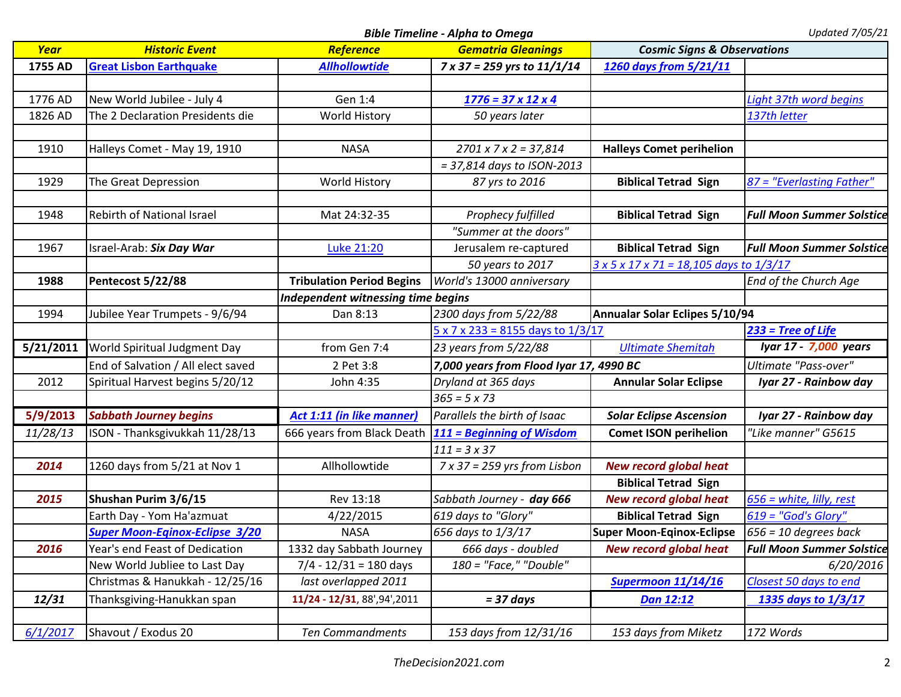*Bible Timeline - Alpha to Omega Updated 7/05/21*

| Year      | <b>Historic Event</b>                 | Reference                          | <b>Gematria Gleanings</b>                       | <b>Cosmic Signs &amp; Observations</b>                     |                                  |
|-----------|---------------------------------------|------------------------------------|-------------------------------------------------|------------------------------------------------------------|----------------------------------|
| 1755 AD   | <b>Great Lisbon Earthquake</b>        | <b>Allhollowtide</b>               | 7 x 37 = 259 yrs to 11/1/14                     | 1260 days from 5/21/11                                     |                                  |
|           |                                       |                                    |                                                 |                                                            |                                  |
| 1776 AD   | New World Jubilee - July 4            | Gen 1:4                            | $1776 = 37 \times 12 \times 4$                  |                                                            | Light 37th word begins           |
| 1826 AD   | The 2 Declaration Presidents die      | <b>World History</b>               | 50 years later                                  |                                                            | 137th letter                     |
|           |                                       |                                    |                                                 |                                                            |                                  |
| 1910      | Halleys Comet - May 19, 1910          | <b>NASA</b>                        | $2701 \times 7 \times 2 = 37,814$               | <b>Halleys Comet perihelion</b>                            |                                  |
|           |                                       |                                    | = 37,814 days to ISON-2013                      |                                                            |                                  |
| 1929      | The Great Depression                  | <b>World History</b>               | 87 yrs to 2016                                  | <b>Biblical Tetrad Sign</b>                                | 87 = "Everlasting Father"        |
|           |                                       |                                    |                                                 |                                                            |                                  |
| 1948      | Rebirth of National Israel            | Mat 24:32-35                       | Prophecy fulfilled                              | <b>Biblical Tetrad Sign</b>                                | <b>Full Moon Summer Solstice</b> |
|           |                                       |                                    | "Summer at the doors"                           |                                                            |                                  |
| 1967      | Israel-Arab: Six Day War              | Luke 21:20                         | Jerusalem re-captured                           | <b>Biblical Tetrad Sign</b>                                | <b>Full Moon Summer Solstice</b> |
|           |                                       |                                    | 50 years to 2017                                | $3 \times 5 \times 17 \times 71 = 18,105$ days to $1/3/17$ |                                  |
| 1988      | Pentecost 5/22/88                     | <b>Tribulation Period Begins</b>   | World's 13000 anniversary                       |                                                            | End of the Church Age            |
|           |                                       | Independent witnessing time begins |                                                 |                                                            |                                  |
| 1994      | Jubilee Year Trumpets - 9/6/94        | Dan 8:13                           | 2300 days from 5/22/88                          | Annualar Solar Eclipes 5/10/94                             |                                  |
|           |                                       |                                    | $5 \times 7 \times 233 = 8155$ days to $1/3/17$ |                                                            | $233$ = Tree of Life             |
| 5/21/2011 | World Spiritual Judgment Day          | from Gen 7:4                       | 23 years from 5/22/88                           | <b>Ultimate Shemitah</b>                                   | Iyar 17 - 7,000 years            |
|           | End of Salvation / All elect saved    | 2 Pet 3:8                          | 7,000 years from Flood Iyar 17, 4990 BC         |                                                            | Ultimate "Pass-over"             |
| 2012      | Spiritual Harvest begins 5/20/12      | John 4:35                          | Dryland at 365 days                             | <b>Annular Solar Eclipse</b>                               | Iyar 27 - Rainbow day            |
|           |                                       |                                    | $365 = 5 \times 73$                             |                                                            |                                  |
| 5/9/2013  | <b>Sabbath Journey begins</b>         | Act 1:11 (in like manner)          | Parallels the birth of Isaac                    | <b>Solar Eclipse Ascension</b>                             | Iyar 27 - Rainbow day            |
| 11/28/13  | ISON - Thanksgivukkah 11/28/13        | 666 years from Black Death         | 111 = Beginning of Wisdom                       | <b>Comet ISON perihelion</b>                               | "Like manner" G5615              |
|           |                                       |                                    | $111 = 3 \times 37$                             |                                                            |                                  |
| 2014      | 1260 days from 5/21 at Nov 1          | Allhollowtide                      | $7 \times 37 = 259$ yrs from Lisbon             | <b>New record global heat</b>                              |                                  |
|           |                                       |                                    |                                                 | <b>Biblical Tetrad Sign</b>                                |                                  |
| 2015      | Shushan Purim 3/6/15                  | Rev 13:18                          | Sabbath Journey - day 666                       | <b>New record global heat</b>                              | $656$ = white, lilly, rest       |
|           | Earth Day - Yom Ha'azmuat             | 4/22/2015                          | 619 days to "Glory"                             | <b>Biblical Tetrad Sign</b>                                | $619 = "God's Glory"$            |
|           | <b>Super Moon-Eqinox-Eclipse 3/20</b> | <b>NASA</b>                        | 656 days to 1/3/17                              | <b>Super Moon-Eqinox-Eclipse</b>                           | $656 = 10$ degrees back          |
| 2016      | Year's end Feast of Dedication        | 1332 day Sabbath Journey           | 666 days - doubled                              | <b>New record global heat</b>                              | <b>Full Moon Summer Solstice</b> |
|           | New World Jubliee to Last Day         | $7/4 - 12/31 = 180$ days           | 180 = "Face," "Double"                          |                                                            | 6/20/2016                        |
|           | Christmas & Hanukkah - 12/25/16       | last overlapped 2011               |                                                 | <b>Supermoon 11/14/16</b>                                  | Closest 50 days to end           |
| 12/31     | Thanksgiving-Hanukkan span            | 11/24 - 12/31, 88', 94', 2011      | $= 37 \text{ days}$                             | Dan 12:12                                                  | 1335 days to 1/3/17              |
|           |                                       |                                    |                                                 |                                                            |                                  |
| 6/1/2017  | Shavout / Exodus 20                   | <b>Ten Commandments</b>            | 153 days from 12/31/16                          | 153 days from Miketz                                       | 172 Words                        |